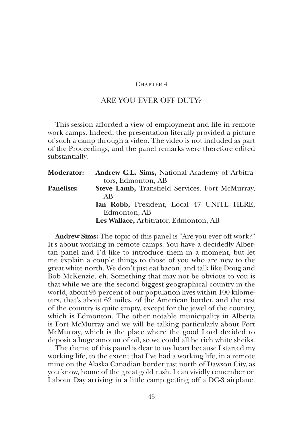## CHAPTER 4

## ARE YOU EVER OFF DUTY?

This session afforded a view of employment and life in remote work camps. Indeed, the presentation literally provided a picture of such a camp through a video. The video is not included as part of the Proceedings, and the panel remarks were therefore edited substantially.

| <b>Moderator:</b> | Andrew C.L. Sims, National Academy of Arbitra-  |
|-------------------|-------------------------------------------------|
|                   | tors, Edmonton, AB                              |
| <b>Panelists:</b> | Steve Lamb, Transfield Services, Fort McMurray, |
|                   | AB                                              |
|                   | Ian Robb, President, Local 47 UNITE HERE,       |
|                   | Edmonton, AB                                    |
|                   | Les Wallace, Arbitrator, Edmonton, AB           |

**Andrew Sims:** The topic of this panel is "Are you ever off work?" It's about working in remote camps. You have a decidedly Albertan panel and I'd like to introduce them in a moment, but let me explain a couple things to those of you who are new to the great white north. We don't just eat bacon, and talk like Doug and Bob McKenzie, eh. Something that may not be obvious to you is that while we are the second biggest geographical country in the world, about 95 percent of our population lives within 100 kilometers, that's about 62 miles, of the American border, and the rest of the country is quite empty, except for the jewel of the country, which is Edmonton. The other notable municipality in Alberta is Fort McMurray and we will be talking particularly about Fort McMurray, which is the place where the good Lord decided to deposit a huge amount of oil, so we could all be rich white sheiks.

The theme of this panel is dear to my heart because I started my working life, to the extent that I've had a working life, in a remote mine on the Alaska Canadian border just north of Dawson City, as you know, home of the great gold rush. I can vividly remember on Labour Day arriving in a little camp getting off a DC-3 airplane.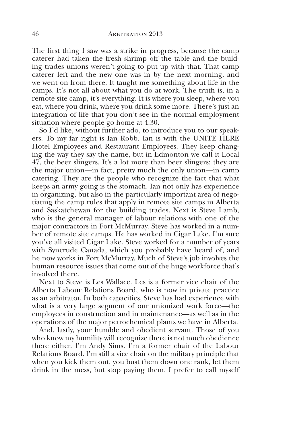The first thing I saw was a strike in progress, because the camp caterer had taken the fresh shrimp off the table and the building trades unions weren't going to put up with that. That camp caterer left and the new one was in by the next morning, and we went on from there. It taught me something about life in the camps. It's not all about what you do at work. The truth is, in a remote site camp, it's everything. It is where you sleep, where you eat, where you drink, where you drink some more. There's just an integration of life that you don't see in the normal employment situation where people go home at 4:30.

So I'd like, without further ado, to introduce you to our speakers. To my far right is Ian Robb. Ian is with the UNITE HERE Hotel Employees and Restaurant Employees. They keep changing the way they say the name, but in Edmonton we call it Local 47, the beer slingers. It's a lot more than beer slingers: they are the major union—in fact, pretty much the only union—in camp catering. They are the people who recognize the fact that what keeps an army going is the stomach. Ian not only has experience in organizing, but also in the particularly important area of negotiating the camp rules that apply in remote site camps in Alberta and Saskatchewan for the building trades. Next is Steve Lamb, who is the general manager of labour relations with one of the major contractors in Fort McMurray. Steve has worked in a number of remote site camps. He has worked in Cigar Lake. I'm sure you've all visited Cigar Lake. Steve worked for a number of years with Syncrude Canada, which you probably have heard of, and he now works in Fort McMurray. Much of Steve's job involves the human resource issues that come out of the huge workforce that's involved there.

Next to Steve is Les Wallace. Les is a former vice chair of the Alberta Labour Relations Board, who is now in private practice as an arbitrator. In both capacities, Steve has had experience with what is a very large segment of our unionized work force—the employees in construction and in maintenance—as well as in the operations of the major petrochemical plants we have in Alberta.

And, lastly, your humble and obedient servant. Those of you who know my humility will recognize there is not much obedience there either. I'm Andy Sims. I'm a former chair of the Labour Relations Board. I'm still a vice chair on the military principle that when you kick them out, you bust them down one rank, let them drink in the mess, but stop paying them. I prefer to call myself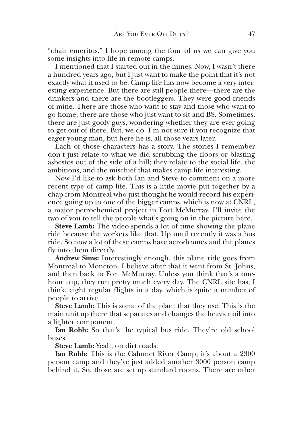"chair emeritus." I hope among the four of us we can give you some insights into life in remote camps.

I mentioned that I started out in the mines. Now, I wasn't there a hundred years ago, but I just want to make the point that it's not exactly what it used to be. Camp life has now become a very interesting experience. But there are still people there—there are the drinkers and there are the bootleggers. They were good friends of mine. There are those who want to stay and those who want to go home; there are those who just want to sit and BS. Sometimes, there are just goofy guys, wondering whether they are ever going to get out of there. But, we do. I'm not sure if you recognize that eager young man, but here he is, all those years later.

Each of those characters has a story. The stories I remember don't just relate to what we did scrubbing the floors or blasting asbestos out of the side of a hill; they relate to the social life, the ambitions, and the mischief that makes camp life interesting.

Now I'd like to ask both Ian and Steve to comment on a more recent type of camp life. This is a little movie put together by a chap from Montreal who just thought he would record his experience going up to one of the bigger camps, which is now at CNRL, a major petrochemical project in Fort McMurray. I'll invite the two of you to tell the people what's going on in the picture here.

**Steve Lamb:** The video spends a lot of time showing the plane ride because the workers like that. Up until recently it was a bus ride. So now a lot of these camps have aerodromes and the planes fly into them directly.

**Andrew Sims:** Interestingly enough, this plane ride goes from Montreal to Moncton. I believe after that it went from St. Johns, and then back to Fort McMurray. Unless you think that's a onehour trip, they run pretty much every day. The CNRL site has, I think, eight regular flights in a day, which is quite a number of people to arrive.

**Steve Lamb:** This is some of the plant that they use. This is the main unit up there that separates and changes the heavier oil into a lighter component.

**Ian Robb:** So that's the typical bus ride. They're old school buses.

**Steve Lamb:** Yeah, on dirt roads.

**Ian Robb:** This is the Calumet River Camp; it's about a 2300 person camp and they've just added another 3000 person camp behind it. So, those are set up standard rooms. There are other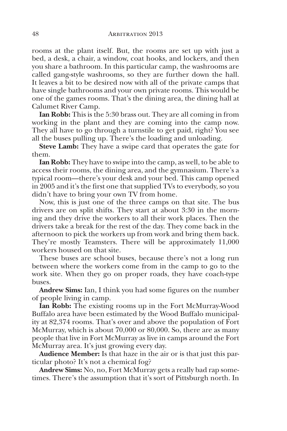rooms at the plant itself. But, the rooms are set up with just a bed, a desk, a chair, a window, coat hooks, and lockers, and then you share a bathroom. In this particular camp, the washrooms are called gang-style washrooms, so they are further down the hall. It leaves a bit to be desired now with all of the private camps that have single bathrooms and your own private rooms. This would be one of the games rooms. That's the dining area, the dining hall at Calumet River Camp.

**Ian Robb:** This is the 5:30 brass out. They are all coming in from working in the plant and they are coming into the camp now. They all have to go through a turnstile to get paid, right? You see all the buses pulling up. There's the loading and unloading.

**Steve Lamb:** They have a swipe card that operates the gate for them.

**Ian Robb:** They have to swipe into the camp, as well, to be able to access their rooms, the dining area, and the gymnasium. There's a typical room—there's your desk and your bed. This camp opened in 2005 and it's the first one that supplied TVs to everybody, so you didn't have to bring your own TV from home.

Now, this is just one of the three camps on that site. The bus drivers are on split shifts. They start at about 3:30 in the morning and they drive the workers to all their work places. Then the drivers take a break for the rest of the day. They come back in the afternoon to pick the workers up from work and bring them back. They're mostly Teamsters. There will be approximately 11,000 workers housed on that site.

These buses are school buses, because there's not a long run between where the workers come from in the camp to go to the work site. When they go on proper roads, they have coach-type buses.

**Andrew Sims:** Ian, I think you had some figures on the number of people living in camp.

**Ian Robb:** The existing rooms up in the Fort McMurray-Wood Buffalo area have been estimated by the Wood Buffalo municipality at 82,374 rooms. That's over and above the population of Fort McMurray, which is about 70,000 or 80,000. So, there are as many people that live in Fort McMurray as live in camps around the Fort McMurray area. It's just growing every day.

**Audience Member:** Is that haze in the air or is that just this particular photo? It's not a chemical fog?

**Andrew Sims:** No, no, Fort McMurray gets a really bad rap sometimes. There's the assumption that it's sort of Pittsburgh north. In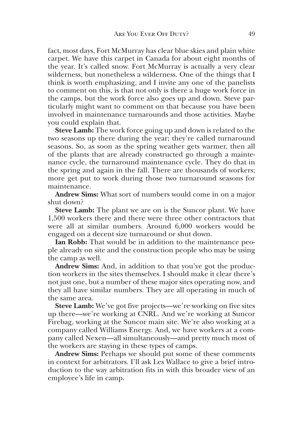fact, most days, Fort McMurray has clear blue skies and plain white carpet. We have this carpet in Canada for about eight months of the year. It's called snow. Fort McMurray is actually a very clear wilderness, but nonetheless a wilderness. One of the things that I think is worth emphasizing, and I invite any one of the panelists to comment on this, is that not only is there a huge work force in the camps, but the work force also goes up and down. Steve particularly might want to comment on that because you have been involved in maintenance turnarounds and those activities. Maybe you could explain that.

**Steve Lamb:** The work force going up and down is related to the two seasons up there during the year; they're called turnaround seasons. So, as soon as the spring weather gets warmer, then all of the plants that are already constructed go through a maintenance cycle, the turnaround maintenance cycle. They do that in the spring and again in the fall. There are thousands of workers; more get put to work during those two turnaround seasons for maintenance.

**Andrew Sims:** What sort of numbers would come in on a major shut down?

**Steve Lamb:** The plant we are on is the Suncor plant. We have 1,500 workers there and there were three other contractors that were all at similar numbers. Around 6,000 workers would be engaged on a decent size turnaround or shut down.

**Ian Robb:** That would be in addition to the maintenance people already on site and the construction people who may be using the camp as well.

**Andrew Sims:** And, in addition to that you've got the production workers in the sites themselves. I should make it clear there's not just one, but a number of these major sites operating now, and they all have similar numbers. They are all operating in much of the same area.

**Steve Lamb:** We've got five projects—we're working on five sites up there—we're working at CNRL. And we're working at Suncor Firebag, working at the Suncor main site. We're also working at a company called Williams Energy. And, we have workers at a company called Nexen—all simultaneously—and pretty much most of the workers are staying in these types of camps.

**Andrew Sims:** Perhaps we should put some of these comments in context for arbitrators. I'll ask Les Wallace to give a brief introduction to the way arbitration fits in with this broader view of an employee's life in camp.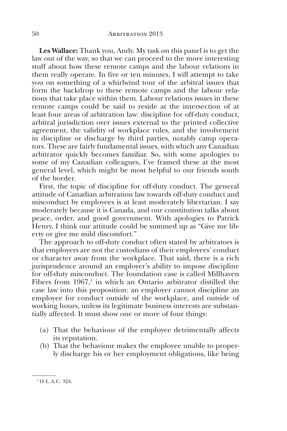**Les Wallace:** Thank you, Andy. My task on this panel is to get the law out of the way, so that we can proceed to the more interesting stuff about how these remote camps and the labour relations in them really operate. In five or ten minutes, I will attempt to take you on something of a whirlwind tour of the arbitral issues that form the backdrop to these remote camps and the labour relations that take place within them. Labour relations issues in these remote camps could be said to reside at the intersection of at least four areas of arbitration law: discipline for off-duty conduct, arbitral jurisdiction over issues external to the printed collective agreement, the validity of workplace rules, and the involvement in discipline or discharge by third parties, notably camp operators. These are fairly fundamental issues, with which any Canadian arbitrator quickly becomes familiar. So, with some apologies to some of my Canadian colleagues, I've framed these at the most general level, which might be most helpful to our friends south of the border.

First, the topic of discipline for off-duty conduct. The general attitude of Canadian arbitration law towards off-duty conduct and misconduct by employees is at least moderately libertarian. I say moderately because it is Canada, and our constitution talks about peace, order, and good government. With apologies to Patrick Henry, I think our attitude could be summed up as "Give me liberty or give me mild discomfort."

The approach to off-duty conduct often stated by arbitrators is that employers are not the custodians of their employees' conduct or character away from the workplace. That said, there is a rich jurisprudence around an employer's ability to impose discipline for off-duty misconduct. The foundation case is called Millhaven Fibers from  $1967$ ,<sup>1</sup> in which an Ontario arbitrator distilled the case law into this proposition: an employer cannot discipline an employee for conduct outside of the workplace, and outside of working hours, unless its legitimate business interests are substantially affected. It must show one or more of four things:

- (a) That the behaviour of the employee detrimentally affects its reputation.
- (b) That the behaviour makes the employee unable to properly discharge his or her employment obligations, like being

<sup>118</sup> L.A.C. 324.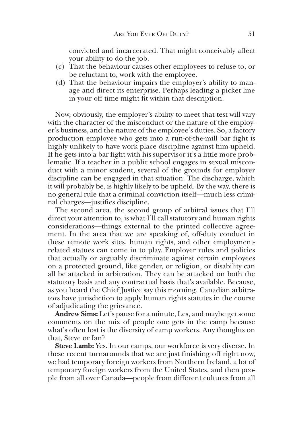convicted and incarcerated. That might conceivably affect your ability to do the job.

- (c) That the behaviour causes other employees to refuse to, or be reluctant to, work with the employee.
- (d) That the behaviour impairs the employer's ability to manage and direct its enterprise. Perhaps leading a picket line in your off time might fit within that description.

Now, obviously, the employer's ability to meet that test will vary with the character of the misconduct or the nature of the employer's business, and the nature of the employee's duties. So, a factory production employee who gets into a run-of-the-mill bar fight is highly unlikely to have work place discipline against him upheld. If he gets into a bar fight with his supervisor it's a little more problematic. If a teacher in a public school engages in sexual misconduct with a minor student, several of the grounds for employer discipline can be engaged in that situation. The discharge, which it will probably be, is highly likely to be upheld. By the way, there is no general rule that a criminal conviction itself—much less criminal charges—justifies discipline.

The second area, the second group of arbitral issues that I'll direct your attention to, is what I'll call statutory and human rights considerations—things external to the printed collective agreement. In the area that we are speaking of, off-duty conduct in these remote work sites, human rights, and other employmentrelated statues can come in to play. Employer rules and policies that actually or arguably discriminate against certain employees on a protected ground, like gender, or religion, or disability can all be attacked in arbitration. They can be attacked on both the statutory basis and any contractual basis that's available. Because, as you heard the Chief Justice say this morning, Canadian arbitrators have jurisdiction to apply human rights statutes in the course of adjudicating the grievance.

**Andrew Sims:** Let's pause for a minute, Les, and maybe get some comments on the mix of people one gets in the camp because what's often lost is the diversity of camp workers. Any thoughts on that, Steve or Ian?

**Steve Lamb:** Yes. In our camps, our workforce is very diverse. In these recent turnarounds that we are just finishing off right now, we had temporary foreign workers from Northern Ireland, a lot of temporary foreign workers from the United States, and then people from all over Canada—people from different cultures from all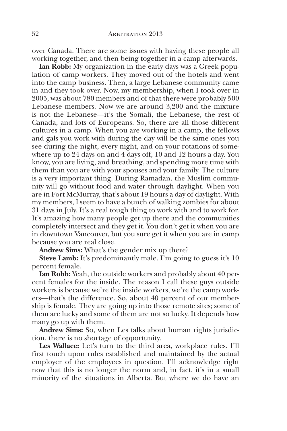over Canada. There are some issues with having these people all working together, and then being together in a camp afterwards.

**Ian Robb:** My organization in the early days was a Greek population of camp workers. They moved out of the hotels and went into the camp business. Then, a large Lebanese community came in and they took over. Now, my membership, when I took over in 2005, was about 780 members and of that there were probably 500 Lebanese members. Now we are around 3,200 and the mixture is not the Lebanese—it's the Somali, the Lebanese, the rest of Canada, and lots of Europeans. So, there are all those different cultures in a camp. When you are working in a camp, the fellows and gals you work with during the day will be the same ones you see during the night, every night, and on your rotations of somewhere up to 24 days on and 4 days off, 10 and 12 hours a day. You know, you are living, and breathing, and spending more time with them than you are with your spouses and your family. The culture is a very important thing. During Ramadan, the Muslim community will go without food and water through daylight. When you are in Fort McMurray, that's about 19 hours a day of daylight. With my members, I seem to have a bunch of walking zombies for about 31 days in July. It's a real tough thing to work with and to work for. It's amazing how many people get up there and the communities completely intersect and they get it. You don't get it when you are in downtown Vancouver, but you sure get it when you are in camp because you are real close.

**Andrew Sims:** What's the gender mix up there?

**Steve Lamb:** It's predominantly male. I'm going to guess it's 10 percent female.

**Ian Robb:** Yeah, the outside workers and probably about 40 percent females for the inside. The reason I call these guys outside workers is because we're the inside workers, we're the camp workers—that's the difference. So, about 40 percent of our membership is female. They are going up into those remote sites; some of them are lucky and some of them are not so lucky. It depends how many go up with them.

**Andrew Sims:** So, when Les talks about human rights jurisdiction, there is no shortage of opportunity.

**Les Wallace:** Let's turn to the third area, workplace rules. I'll first touch upon rules established and maintained by the actual employer of the employees in question. I'll acknowledge right now that this is no longer the norm and, in fact, it's in a small minority of the situations in Alberta. But where we do have an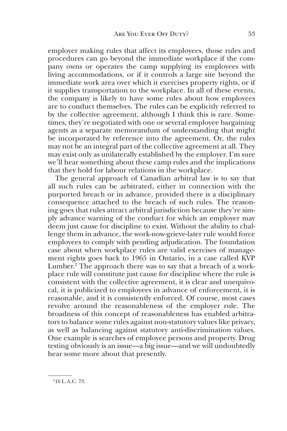employer making rules that affect its employees, those rules and procedures can go beyond the immediate workplace if the company owns or operates the camp supplying its employees with living accommodations, or if it controls a large site beyond the immediate work area over which it exercises property rights, or if it supplies transportation to the workplace. In all of these events, the company is likely to have some rules about how employees are to conduct themselves. The rules can be explicitly referred to by the collective agreement, although I think this is rare. Sometimes, they're negotiated with one or several employee bargaining agents as a separate memorandum of understanding that might be incorporated by reference into the agreement. Or, the rules may not be an integral part of the collective agreement at all. They may exist only as unilaterally established by the employer. I'm sure we'll hear something about these camp rules and the implications that they hold for labour relations in the workplace.

The general approach of Canadian arbitral law is to say that all such rules can be arbitrated, either in connection with the purported breach or in advance, provided there is a disciplinary consequence attached to the breach of such rules. The reasoning goes that rules attract arbitral jurisdiction because they're simply advance warning of the conduct for which an employer may deem just cause for discipline to exist. Without the ability to challenge them in advance, the work-now-grieve-later rule would force employees to comply with pending adjudication. The foundation case about when workplace rules are valid exercises of management rights goes back to 1965 in Ontario, in a case called KVP Lumber.<sup>2</sup> The approach there was to say that a breach of a workplace rule will constitute just cause for discipline where the rule is consistent with the collective agreement, it is clear and unequivocal, it is publicized to employees in advance of enforcement, it is reasonable, and it is consistently enforced. Of course, most cases revolve around the reasonableness of the employer rule. The broadness of this concept of reasonableness has enabled arbitrators to balance some rules against non-statutory values like privacy, as well as balancing against statutory anti-discrimination values. One example is searches of employee persons and property. Drug testing obviously is an issue—a big issue—and we will undoubtedly hear some more about that presently.

<sup>216</sup> L.A.C. 73.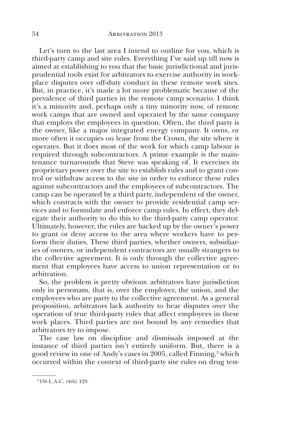Let's turn to the last area I intend to outline for you, which is third-party camp and site rules. Everything I've said up till now is aimed at establishing to you that the basic jurisdictional and jurisprudential tools exist for arbitrators to exercise authority in workplace disputes over off-duty conduct in these remote work sites. But, in practice, it's made a lot more problematic because of the prevalence of third parties in the remote camp scenario. I think it's a minority and, perhaps only a tiny minority now, of remote work camps that are owned and operated by the same company that employs the employees in question. Often, the third party is the owner, like a major integrated energy company. It owns, or more often it occupies on lease from the Crown, the site where it operates. But it does most of the work for which camp labour is required through subcontractors. A prime example is the maintenance turnarounds that Steve was speaking of. It exercises its proprietary power over the site to establish rules and to grant control or withdraw access to the site in order to enforce these rules against subcontractors and the employees of subcontractors. The camp can be operated by a third party, independent of the owner, which contracts with the owner to provide residential camp services and to formulate and enforce camp rules. In effect, they delegate their authority to do this to the third-party camp operator. Ultimately, however, the rules are backed up by the owner's power to grant or deny access to the area where workers have to perform their duties. These third parties, whether owners, subsidiaries of owners, or independent contractors are usually strangers to the collective agreement. It is only through the collective agreement that employees have access to union representation or to arbitration.

So, the problem is pretty obvious: arbitrators have jurisdiction only in personam, that is, over the employer, the union, and the employees who are party to the collective agreement. As a general proposition, arbitrators lack authority to hear disputes over the operation of true third-party rules that affect employees in these work places. Third parties are not bound by any remedies that arbitrators try to impose.

The case law on discipline and dismissals imposed at the instance of third parties isn't entirely uniform. But, there is a good review in one of Andy's cases in 2005, called Finning,<sup>3</sup> which occurred within the context of third-party site rules on drug test-

<sup>3136</sup> L.A.C. (4th) 129.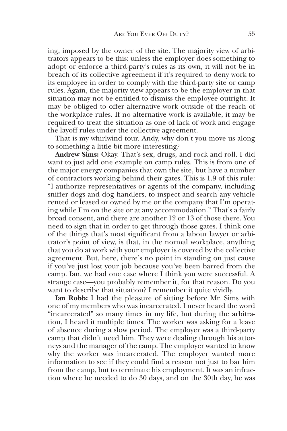ing, imposed by the owner of the site. The majority view of arbitrators appears to be this: unless the employer does something to adopt or enforce a third-party's rules as its own, it will not be in breach of its collective agreement if it's required to deny work to its employee in order to comply with the third-party site or camp rules. Again, the majority view appears to be the employer in that situation may not be entitled to dismiss the employee outright. It may be obliged to offer alternative work outside of the reach of the workplace rules. If no alternative work is available, it may be required to treat the situation as one of lack of work and engage the layoff rules under the collective agreement.

That is my whirlwind tour. Andy, why don't you move us along to something a little bit more interesting?

**Andrew Sims:** Okay. That's sex, drugs, and rock and roll. I did want to just add one example on camp rules. This is from one of the major energy companies that own the site, but have a number of contractors working behind their gates. This is 1.9 of this rule: "I authorize representatives or agents of the company, including sniffer dogs and dog handlers, to inspect and search any vehicle rented or leased or owned by me or the company that I'm operating while I'm on the site or at any accommodation." That's a fairly broad consent, and there are another 12 or 13 of those there. You need to sign that in order to get through those gates. I think one of the things that's most significant from a labour lawyer or arbitrator's point of view, is that, in the normal workplace, anything that you do at work with your employer is covered by the collective agreement. But, here, there's no point in standing on just cause if you've just lost your job because you've been barred from the camp. Ian, we had one case where I think you were successful. A strange case—you probably remember it, for that reason. Do you want to describe that situation? I remember it quite vividly.

**Ian Robb:** I had the pleasure of sitting before Mr. Sims with one of my members who was incarcerated. I never heard the word "incarcerated" so many times in my life, but during the arbitration, I heard it multiple times. The worker was asking for a leave of absence during a slow period. The employer was a third-party camp that didn't need him. They were dealing through his attorneys and the manager of the camp. The employer wanted to know why the worker was incarcerated. The employer wanted more information to see if they could find a reason not just to bar him from the camp, but to terminate his employment. It was an infraction where he needed to do 30 days, and on the 30th day, he was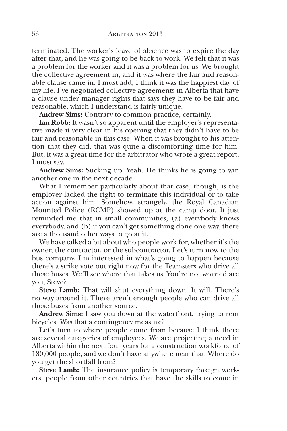terminated. The worker's leave of absence was to expire the day after that, and he was going to be back to work. We felt that it was a problem for the worker and it was a problem for us. We brought the collective agreement in, and it was where the fair and reasonable clause came in. I must add, I think it was the happiest day of my life. I've negotiated collective agreements in Alberta that have a clause under manager rights that says they have to be fair and reasonable, which I understand is fairly unique.

**Andrew Sims:** Contrary to common practice, certainly.

**Ian Robb:** It wasn't so apparent until the employer's representative made it very clear in his opening that they didn't have to be fair and reasonable in this case. When it was brought to his attention that they did, that was quite a discomforting time for him. But, it was a great time for the arbitrator who wrote a great report, I must say.

**Andrew Sims:** Sucking up. Yeah. He thinks he is going to win another one in the next decade.

What I remember particularly about that case, though, is the employer lacked the right to terminate this individual or to take action against him. Somehow, strangely, the Royal Canadian Mounted Police (RCMP) showed up at the camp door. It just reminded me that in small communities, (a) everybody knows everybody, and (b) if you can't get something done one way, there are a thousand other ways to go at it.

We have talked a bit about who people work for, whether it's the owner, the contractor, or the subcontractor. Let's turn now to the bus company. I'm interested in what's going to happen because there's a strike vote out right now for the Teamsters who drive all those buses. We'll see where that takes us. You're not worried are you, Steve?

**Steve Lamb:** That will shut everything down. It will. There's no way around it. There aren't enough people who can drive all those buses from another source.

**Andrew Sims:** I saw you down at the waterfront, trying to rent bicycles. Was that a contingency measure?

Let's turn to where people come from because I think there are several categories of employees. We are projecting a need in Alberta within the next four years for a construction workforce of 180,000 people, and we don't have anywhere near that. Where do you get the shortfall from?

**Steve Lamb:** The insurance policy is temporary foreign workers, people from other countries that have the skills to come in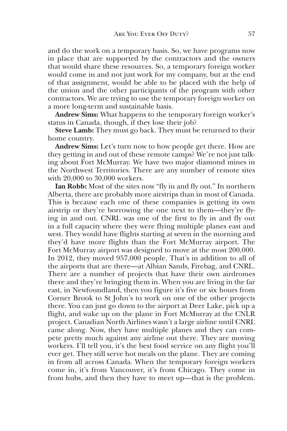and do the work on a temporary basis. So, we have programs now in place that are supported by the contractors and the owners that would share these resources. So, a temporary foreign worker would come in and not just work for my company, but at the end of that assignment, would be able to be placed with the help of the union and the other participants of the program with other contractors. We are trying to use the temporary foreign worker on a more long-term and sustainable basis.

**Andrew Sims:** What happens to the temporary foreign worker's status in Canada, though, if they lose their job?

**Steve Lamb:** They must go back. They must be returned to their home country.

**Andrew Sims:** Let's turn now to how people get there. How are they getting in and out of these remote camps? We're not just talking about Fort McMurray. We have two major diamond mines in the Northwest Territories. There are any number of remote sites with 20,000 to 30,000 workers.

**Ian Robb:** Most of the sites now "fly in and fly out." In northern Alberta, there are probably more airstrips than in most of Canada. This is because each one of these companies is getting its own airstrip or they're borrowing the one next to them—they're flying in and out. CNRL was one of the first to fly in and fly out in a full capacity where they were flying multiple planes east and west. They would have flights starting at seven in the morning and they'd have more flights than the Fort McMurray airport. The Fort McMurray airport was designed to move at the most 200,000. In 2012, they moved 957,000 people. That's in addition to all of the airports that are there—at Albian Sands, Firebag, and CNRL. There are a number of projects that have their own airdromes there and they're bringing them in. When you are living in the far east, in Newfoundland, then you figure it's five or six hours from Corner Brook to St John's to work on one of the other projects there. You can just go down to the airport at Deer Lake, pick up a flight, and wake up on the plane in Fort McMurray at the CNLR project. Canadian North Airlines wasn't a large airline until CNRL came along. Now, they have multiple planes and they can compete pretty much against any airline out there. They are moving workers. I'll tell you, it's the best food service on any flight you'll ever get. They still serve hot meals on the plane. They are coming in from all across Canada. When the temporary foreign workers come in, it's from Vancouver, it's from Chicago. They come in from hubs, and then they have to meet up—that is the problem.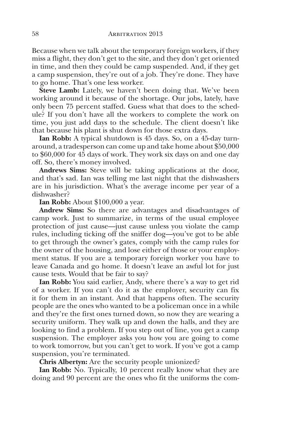Because when we talk about the temporary foreign workers, if they miss a flight, they don't get to the site, and they don't get oriented in time, and then they could be camp suspended. And, if they get a camp suspension, they're out of a job. They're done. They have to go home. That's one less worker.

**Steve Lamb:** Lately, we haven't been doing that. We've been working around it because of the shortage. Our jobs, lately, have only been 75 percent staffed. Guess what that does to the schedule? If you don't have all the workers to complete the work on time, you just add days to the schedule. The client doesn't like that because his plant is shut down for those extra days.

**Ian Robb:** A typical shutdown is 45 days. So, on a 45-day turnaround, a tradesperson can come up and take home about \$50,000 to \$60,000 for 45 days of work. They work six days on and one day off. So, there's money involved.

**Andrews Sims:** Steve will be taking applications at the door, and that's sad. Ian was telling me last night that the dishwashers are in his jurisdiction. What's the average income per year of a dishwasher?

**Ian Robb:** About \$100,000 a year.

**Andrew Sims:** So there are advantages and disadvantages of camp work. Just to summarize, in terms of the usual employee protection of just cause—just cause unless you violate the camp rules, including ticking off the sniffer dog—you've got to be able to get through the owner's gates, comply with the camp rules for the owner of the housing, and lose either of those or your employment status. If you are a temporary foreign worker you have to leave Canada and go home. It doesn't leave an awful lot for just cause tests. Would that be fair to say?

**Ian Robb:** You said earlier, Andy, where there's a way to get rid of a worker. If you can't do it as the employer, security can fix it for them in an instant. And that happens often. The security people are the ones who wanted to be a policeman once in a while and they're the first ones turned down, so now they are wearing a security uniform. They walk up and down the halls, and they are looking to find a problem. If you step out of line, you get a camp suspension. The employer asks you how you are going to come to work tomorrow, but you can't get to work. If you've got a camp suspension, you're terminated.

**Chris Albertyn:** Are the security people unionized?

**Ian Robb:** No. Typically, 10 percent really know what they are doing and 90 percent are the ones who fit the uniforms the com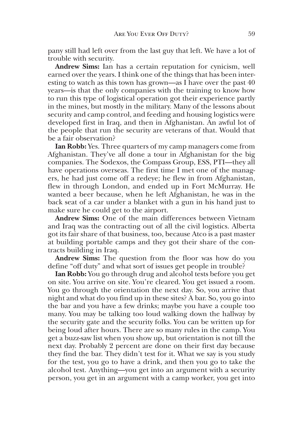pany still had left over from the last guy that left. We have a lot of trouble with security.

**Andrew Sims:** Ian has a certain reputation for cynicism, well earned over the years. I think one of the things that has been interesting to watch as this town has grown—as I have over the past 40 years—is that the only companies with the training to know how to run this type of logistical operation got their experience partly in the mines, but mostly in the military. Many of the lessons about security and camp control, and feeding and housing logistics were developed first in Iraq, and then in Afghanistan. An awful lot of the people that run the security are veterans of that. Would that be a fair observation?

**Ian Robb:** Yes. Three quarters of my camp managers come from Afghanistan. They've all done a tour in Afghanistan for the big companies. The Sodexos, the Compass Group, ESS, PTI—they all have operations overseas. The first time I met one of the managers, he had just come off a redeye; he flew in from Afghanistan, flew in through London, and ended up in Fort McMurray. He wanted a beer because, when he left Afghanistan, he was in the back seat of a car under a blanket with a gun in his hand just to make sure he could get to the airport.

**Andrew Sims:** One of the main differences between Vietnam and Iraq was the contracting out of all the civil logistics. Alberta got its fair share of that business, too, because Atco is a past master at building portable camps and they got their share of the contracts building in Iraq.

**Andrew Sims:** The question from the floor was how do you define "off duty" and what sort of issues get people in trouble?

**Ian Robb:** You go through drug and alcohol tests before you get on site. You arrive on site. You're cleared. You get issued a room. You go through the orientation the next day. So, you arrive that night and what do you find up in these sites? A bar. So, you go into the bar and you have a few drinks; maybe you have a couple too many. You may be talking too loud walking down the hallway by the security gate and the security folks. You can be written up for being loud after hours. There are so many rules in the camp. You get a buzz-saw list when you show up, but orientation is not till the next day. Probably 2 percent are done on their first day because they find the bar. They didn't test for it. What we say is you study for the test, you go to have a drink, and then you go to take the alcohol test. Anything—you get into an argument with a security person, you get in an argument with a camp worker, you get into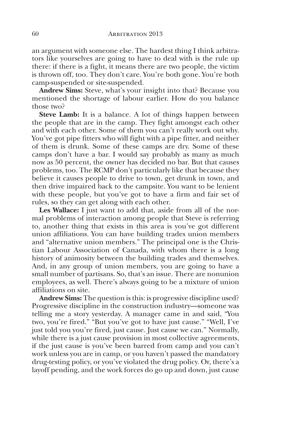an argument with someone else. The hardest thing I think arbitrators like yourselves are going to have to deal with is the rule up there: if there is a fight, it means there are two people, the victim is thrown off, too. They don't care. You're both gone. You're both camp-suspended or site-suspended.

**Andrew Sims:** Steve, what's your insight into that? Because you mentioned the shortage of labour earlier. How do you balance those two?

**Steve Lamb:** It is a balance. A lot of things happen between the people that are in the camp. They fight amongst each other and with each other. Some of them you can't really work out why. You've got pipe fitters who will fight with a pipe fitter, and neither of them is drunk. Some of these camps are dry. Some of these camps don't have a bar. I would say probably as many as much now as 50 percent, the owner has decided no bar. But that causes problems, too. The RCMP don't particularly like that because they believe it causes people to drive to town, get drunk in town, and then drive impaired back to the campsite. You want to be lenient with these people, but you've got to have a firm and fair set of rules, so they can get along with each other.

**Les Wallace:** I just want to add that, aside from all of the normal problems of interaction among people that Steve is referring to, another thing that exists in this area is you've got different union affiliations. You can have building trades union members and "alternative union members." The principal one is the Christian Labour Association of Canada, with whom there is a long history of animosity between the building trades and themselves. And, in any group of union members, you are going to have a small number of partisans. So, that's an issue. There are nonunion employees, as well. There's always going to be a mixture of union affiliations on site.

**Andrew Sims:** The question is this: is progressive discipline used? Progressive discipline in the construction industry—someone was telling me a story yesterday. A manager came in and said, "You two, you're fired." "But you've got to have just cause." "Well, I've just told you you're fired, just cause. Just cause we can." Normally, while there is a just cause provision in most collective agreements, if the just cause is you've been barred from camp and you can't work unless you are in camp, or you haven't passed the mandatory drug-testing policy, or you've violated the drug policy. Or, there's a layoff pending, and the work forces do go up and down, just cause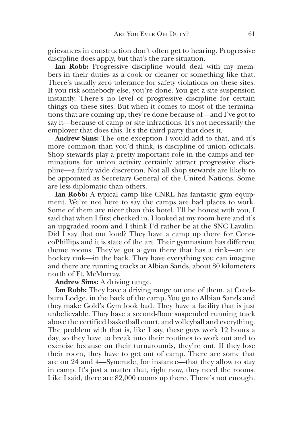grievances in construction don't often get to hearing. Progressive discipline does apply, but that's the rare situation.

**Ian Robb:** Progressive discipline would deal with my members in their duties as a cook or cleaner or something like that. There's usually zero tolerance for safety violations on these sites. If you risk somebody else, you're done. You get a site suspension instantly. There's no level of progressive discipline for certain things on these sites. But when it comes to most of the terminations that are coming up, they're done because of—and I've got to say it—because of camp or site infractions. It's not necessarily the employer that does this. It's the third party that does it.

**Andrew Sims:** The one exception I would add to that, and it's more common than you'd think, is discipline of union officials. Shop stewards play a pretty important role in the camps and terminations for union activity certainly attract progressive discipline—a fairly wide discretion. Not all shop stewards are likely to be appointed as Secretary General of the United Nations. Some are less diplomatic than others.

**Ian Robb:** A typical camp like CNRL has fantastic gym equipment. We're not here to say the camps are bad places to work. Some of them are nicer than this hotel. I'll be honest with you, I said that when I first checked in. I looked at my room here and it's an upgraded room and I think I'd rather be at the SNC Lavalin. Did I say that out loud? They have a camp up there for ConocoPhillips and it is state of the art. Their gymnasium has different theme rooms. They've got a gym there that has a rink—an ice hockey rink—in the back. They have everything you can imagine and there are running tracks at Albian Sands, about 80 kilometers north of Ft. McMurray.

**Andrew Sims:** A driving range.

**Ian Robb:** They have a driving range on one of them, at Creekburn Lodge, in the back of the camp. You go to Albian Sands and they make Gold's Gym look bad. They have a facility that is just unbelievable. They have a second-floor suspended running track above the certified basketball court, and volleyball and everything. The problem with that is, like I say, these guys work 12 hours a day, so they have to break into their routines to work out and to exercise because on their turnarounds, they're out. If they lose their room, they have to get out of camp. There are some that are on 24 and 4—Syncrude, for instance—that they allow to stay in camp. It's just a matter that, right now, they need the rooms. Like I said, there are 82,000 rooms up there. There's not enough.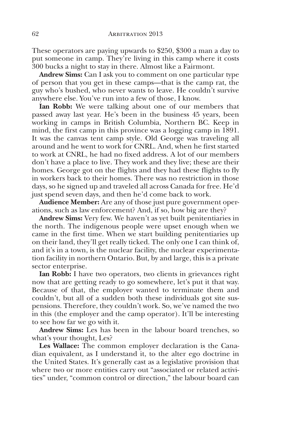These operators are paying upwards to \$250, \$300 a man a day to put someone in camp. They're living in this camp where it costs 300 bucks a night to stay in there. Almost like a Fairmont.

**Andrew Sims:** Can I ask you to comment on one particular type of person that you get in these camps—that is the camp rat, the guy who's bushed, who never wants to leave. He couldn't survive anywhere else. You've run into a few of those, I know.

**Ian Robb:** We were talking about one of our members that passed away last year. He's been in the business 45 years, been working in camps in British Columbia, Northern BC. Keep in mind, the first camp in this province was a logging camp in 1891. It was the canvas tent camp style. Old George was traveling all around and he went to work for CNRL. And, when he first started to work at CNRL, he had no fixed address. A lot of our members don't have a place to live. They work and they live; these are their homes. George got on the flights and they had these flights to fly in workers back to their homes. There was no restriction in those days, so he signed up and traveled all across Canada for free. He'd just spend seven days, and then he'd come back to work.

**Audience Member:** Are any of those just pure government operations, such as law enforcement? And, if so, how big are they?

**Andrew Sims:** Very few. We haven't as yet built penitentiaries in the north. The indigenous people were upset enough when we came in the first time. When we start building penitentiaries up on their land, they'll get really ticked. The only one I can think of, and it's in a town, is the nuclear facility, the nuclear experimentation facility in northern Ontario. But, by and large, this is a private sector enterprise.

**Ian Robb:** I have two operators, two clients in grievances right now that are getting ready to go somewhere, let's put it that way. Because of that, the employer wanted to terminate them and couldn't, but all of a sudden both these individuals got site suspensions. Therefore, they couldn't work. So, we've named the two in this (the employer and the camp operator). It'll be interesting to see how far we go with it.

**Andrew Sims:** Les has been in the labour board trenches, so what's your thought, Les?

**Les Wallace:** The common employer declaration is the Canadian equivalent, as I understand it, to the alter ego doctrine in the United States. It's generally cast as a legislative provision that where two or more entities carry out "associated or related activities" under, "common control or direction," the labour board can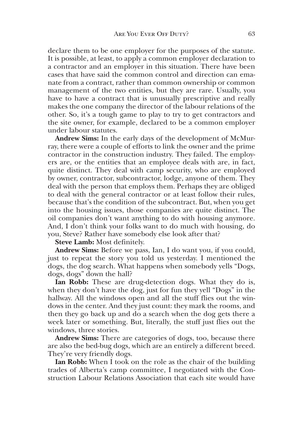declare them to be one employer for the purposes of the statute. It is possible, at least, to apply a common employer declaration to a contractor and an employer in this situation. There have been cases that have said the common control and direction can emanate from a contract, rather than common ownership or common management of the two entities, but they are rare. Usually, you have to have a contract that is unusually prescriptive and really makes the one company the director of the labour relations of the other. So, it's a tough game to play to try to get contractors and the site owner, for example, declared to be a common employer under labour statutes.

**Andrew Sims:** In the early days of the development of McMurray, there were a couple of efforts to link the owner and the prime contractor in the construction industry. They failed. The employers are, or the entities that an employee deals with are, in fact, quite distinct. They deal with camp security, who are employed by owner, contractor, subcontractor, lodge, anyone of them. They deal with the person that employs them. Perhaps they are obliged to deal with the general contractor or at least follow their rules, because that's the condition of the subcontract. But, when you get into the housing issues, those companies are quite distinct. The oil companies don't want anything to do with housing anymore. And, I don't think your folks want to do much with housing, do you, Steve? Rather have somebody else look after that?

**Steve Lamb:** Most definitely.

**Andrew Sims:** Before we pass, Ian, I do want you, if you could, just to repeat the story you told us yesterday. I mentioned the dogs, the dog search. What happens when somebody yells "Dogs, dogs, dogs" down the hall?

**Ian Robb:** These are drug-detection dogs. What they do is, when they don't have the dog, just for fun they yell "Dogs" in the hallway. All the windows open and all the stuff flies out the windows in the center. And they just count: they mark the rooms, and then they go back up and do a search when the dog gets there a week later or something. But, literally, the stuff just flies out the windows, three stories.

**Andrew Sims:** There are categories of dogs, too, because there are also the bed-bug dogs, which are an entirely a different breed. They're very friendly dogs.

**Ian Robb:** When I took on the role as the chair of the building trades of Alberta's camp committee, I negotiated with the Construction Labour Relations Association that each site would have